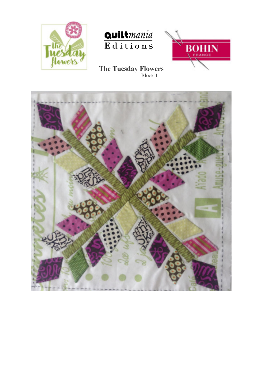





 **The Tuesday Flowers** Block 1

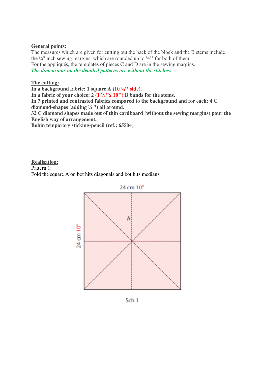## **General points:**

The measures which are given for cutting out the back of the block and the B stems include the  $\frac{1}{4}$ " inch sewing margins, which are rounded up to  $\frac{1}{2}$ " for both of them. For the appliqués, the templates of pieces C and D are in the sewing margins. *The dimensions on the detailed patterns are without the stitches***.** 

## **The cutting:**

**In a background fabric: 1 square A (10 ½'' side).** 

In a fabric of your choice:  $2(1\frac{1}{8}, 10)$  B bands for the stems.

**In 7 printed and contrasted fabrics compared to the background and for each: 4 C diamond-shapes (adding ¼ ") all around.** 

**32 C diamond shapes made out of thin cardboard (without the sewing margins) pour the English way of arrangement.** 

**Bohin temporary sticking-pencil (ref.: 65504)** 

## **Realisation:**

Pattern 1:

Fold the square A on bot hits diagonals and bot hits medians.



Sch<sub>1</sub>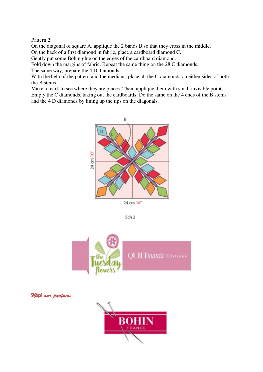Pattern 2:

On the diagonal of square A, applique the 2 bands B so that they cross in the middle. On the back of a first diamond in fabric, place a cardboard diamond C.

Gently put some Bohin glue on the edges of the cardboard diamond.

Fold down the margins of fabric. Repeat the same thing on the 28 C diamonds.

The same way, prepare the 4 D diamonds.

With the help of the pattern and the medians, place all the C diamonds on either sides of both the B stems.

Make a mark to see where they are places. Then, applique them with small invisible points. Empty the C diamonds, taking out the cardboards. Do the same on the 4 ends of the B stems and the 4 D diamonds by lining up the tips on the diagonals.



Sch<sub>2</sub>



*With our partner:*